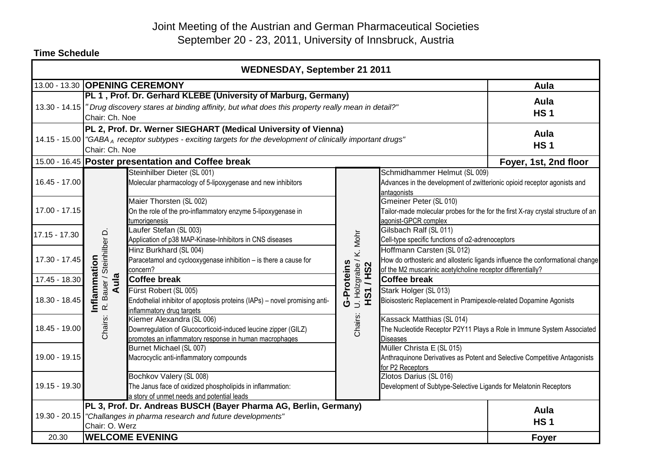# Joint Meeting of the Austrian and German Pharmaceutical Societies September 20 - 23, 2011, University of Innsbruck, Austria

| <b>WEDNESDAY, September 21 2011</b>                                                                           |                                                                                                                                                                                                     |                                                                                                                                                       |                                                            |                                                                                                                                                                           |                       |  |
|---------------------------------------------------------------------------------------------------------------|-----------------------------------------------------------------------------------------------------------------------------------------------------------------------------------------------------|-------------------------------------------------------------------------------------------------------------------------------------------------------|------------------------------------------------------------|---------------------------------------------------------------------------------------------------------------------------------------------------------------------------|-----------------------|--|
| 13.00 - 13.30 OPENING CEREMONY                                                                                |                                                                                                                                                                                                     | Aula                                                                                                                                                  |                                                            |                                                                                                                                                                           |                       |  |
|                                                                                                               | PL 1, Prof. Dr. Gerhard KLEBE (University of Marburg, Germany)<br>13.30 - 14.15  " Drug discovery stares at binding affinity, but what does this property really mean in detail?"<br>Chair: Ch. Noe |                                                                                                                                                       |                                                            |                                                                                                                                                                           | Aula<br><b>HS1</b>    |  |
| 14.15 - 15.00 "GABA A receptor subtypes - exciting targets for the development of clinically important drugs" | PL 2, Prof. Dr. Werner SIEGHART (Medical University of Vienna)<br>Chair: Ch. Noe                                                                                                                    | Aula<br><b>HS1</b>                                                                                                                                    |                                                            |                                                                                                                                                                           |                       |  |
|                                                                                                               |                                                                                                                                                                                                     | 15.00 - 16.45 Poster presentation and Coffee break                                                                                                    |                                                            |                                                                                                                                                                           | Foyer, 1st, 2nd floor |  |
| 16.45 - 17.00                                                                                                 |                                                                                                                                                                                                     | Steinhilber Dieter (SL 001)<br>Molecular pharmacology of 5-lipoxygenase and new inhibitors                                                            |                                                            | Schmidhammer Helmut (SL 009)<br>Advances in the development of zwitterionic opioid receptor agonists and<br>antagonists                                                   |                       |  |
| 17.00 - 17.15                                                                                                 |                                                                                                                                                                                                     | Maier Thorsten (SL 002)<br>On the role of the pro-inflammatory enzyme 5-lipoxygenase in<br>tumorigenesis                                              |                                                            | Gmeiner Peter (SL 010)<br>Tailor-made molecular probes for the for the first X-ray crystal structure of an<br>agonist-GPCR complex                                        |                       |  |
| 17.15 - 17.30                                                                                                 |                                                                                                                                                                                                     | Laufer Stefan (SL 003)<br>Application of p38 MAP-Kinase-Inhibitors in CNS diseases                                                                    |                                                            | Gilsbach Ralf (SL 011)<br>Cell-type specific functions of α2-adrenoceptors                                                                                                |                       |  |
| 17.30 - 17.45                                                                                                 |                                                                                                                                                                                                     | Hinz Burkhard (SL 004)<br>Paracetamol and cyclooxygenase inhibition - is there a cause for<br>concern?                                                |                                                            | Hoffmann Carsten (SL 012)<br>How do orthosteric and allosteric ligands influence the conformational change<br>of the M2 muscarinic acetylcholine receptor differentially? |                       |  |
| 17.45 - 18.30                                                                                                 | Aula                                                                                                                                                                                                | <b>Coffee break</b>                                                                                                                                   |                                                            | <b>Coffee break</b>                                                                                                                                                       |                       |  |
| 18.30 - 18.45                                                                                                 | R. Bauer / Steinhilber D.<br>Inflammation                                                                                                                                                           | Fürst Robert (SL 005)<br>Endothelial inhibitor of apoptosis proteins (IAPs) - novel promising anti-<br>inflammatory drug targets                      | U. Holzgrabe / K. Mohr<br>G-Proteins<br><b>S1/HS2</b><br>Ĩ | Stark Holger (SL 013)<br>Bioisosteric Replacement in Pramipexole-related Dopamine Agonists                                                                                |                       |  |
| 18.45 - 19.00                                                                                                 | Chairs:                                                                                                                                                                                             | Kiemer Alexandra (SL 006)<br>Downregulation of Glucocorticoid-induced leucine zipper (GILZ)<br>promotes an inflammatory response in human macrophages | Chairs:                                                    | Kassack Matthias (SL 014)<br>The Nucleotide Receptor P2Y11 Plays a Role in Immune System Associated<br><b>Diseases</b>                                                    |                       |  |
| 19.00 - 19.15                                                                                                 |                                                                                                                                                                                                     | Burnet Michael (SL 007)<br>Macrocyclic anti-inflammatory compounds                                                                                    |                                                            | Müller Christa E (SL 015)<br>Anthraquinone Derivatives as Potent and Selective Competitive Antagonists<br>for P2 Receptors                                                |                       |  |
| 19.15 - 19.30                                                                                                 |                                                                                                                                                                                                     | Bochkov Valery (SL 008)<br>The Janus face of oxidized phospholipids in inflammation:<br>a story of unmet needs and potential leads                    |                                                            | Zlotos Darius (SL 016)<br>Development of Subtype-Selective Ligands for Melatonin Receptors                                                                                |                       |  |
|                                                                                                               | PL 3, Prof. Dr. Andreas BUSCH (Bayer Pharma AG, Berlin, Germany)                                                                                                                                    |                                                                                                                                                       |                                                            |                                                                                                                                                                           | Aula                  |  |
|                                                                                                               | 19.30 - 20.15   "Challanges in pharma research and future developments"<br>Chair: O. Werz                                                                                                           |                                                                                                                                                       |                                                            |                                                                                                                                                                           | <b>HS1</b>            |  |
| 20.30                                                                                                         | <b>WELCOME EVENING</b>                                                                                                                                                                              |                                                                                                                                                       |                                                            |                                                                                                                                                                           |                       |  |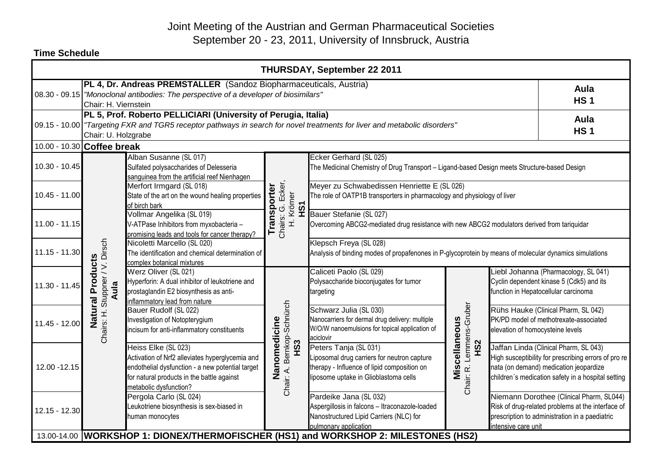| <b>THURSDAY, September 22 2011</b>                                                                                                                                                                                |                                                                                                                                                                                    |                                                                                                                                                                                                    |                                                               |                                                                                                                                                              |                                               |                                  |                                                                                                                                                                                               |  |
|-------------------------------------------------------------------------------------------------------------------------------------------------------------------------------------------------------------------|------------------------------------------------------------------------------------------------------------------------------------------------------------------------------------|----------------------------------------------------------------------------------------------------------------------------------------------------------------------------------------------------|---------------------------------------------------------------|--------------------------------------------------------------------------------------------------------------------------------------------------------------|-----------------------------------------------|----------------------------------|-----------------------------------------------------------------------------------------------------------------------------------------------------------------------------------------------|--|
|                                                                                                                                                                                                                   | PL 4, Dr. Andreas PREMSTALLER (Sandoz Biopharmaceuticals, Austria)<br>08.30 - 09.15 "Monoclonal antibodies: The perspective of a developer of biosimilars"<br>Chair: H. Viernstein |                                                                                                                                                                                                    |                                                               |                                                                                                                                                              | Aula<br><b>HS1</b>                            |                                  |                                                                                                                                                                                               |  |
| PL 5, Prof. Roberto PELLICIARI (University of Perugia, Italia)<br>09.15 - 10.00 Targeting FXR and TGR5 receptor pathways in search for novel treatments for liver and metabolic disorders"<br>Chair: U. Holzgrabe |                                                                                                                                                                                    |                                                                                                                                                                                                    |                                                               |                                                                                                                                                              | Aula<br><b>HS1</b>                            |                                  |                                                                                                                                                                                               |  |
|                                                                                                                                                                                                                   | 10.00 - 10.30 Coffee break                                                                                                                                                         |                                                                                                                                                                                                    |                                                               |                                                                                                                                                              |                                               |                                  |                                                                                                                                                                                               |  |
| $10.30 - 10.45$                                                                                                                                                                                                   |                                                                                                                                                                                    | Alban Susanne (SL 017)<br>Sulfated polysaccharides of Delesseria<br>sanguinea from the artificial reef Nienhagen                                                                                   |                                                               | Ecker Gerhard (SL 025)<br>The Medicinal Chemistry of Drug Transport - Ligand-based Design meets Structure-based Design                                       |                                               |                                  |                                                                                                                                                                                               |  |
| $10.45 - 11.00$                                                                                                                                                                                                   | Chairs: H. Stuppner / V. Dirsch<br>Natural Products<br>Aula                                                                                                                        | Merfort Irmgard (SL 018)<br>State of the art on the wound healing properties<br>of birch bark                                                                                                      |                                                               | Meyer zu Schwabedissen Henriette E (SL 026)<br>The role of OATP1B transporters in pharmacology and physiology of liver                                       |                                               |                                  |                                                                                                                                                                                               |  |
| $11.00 - 11.15$                                                                                                                                                                                                   |                                                                                                                                                                                    | Vollmar Angelika (SL 019)<br>V-ATPase Inhibitors from myxobacteria -<br>promising leads and tools for cancer therapy?                                                                              | Chairs: G. Ecker,<br>Transporter<br>H. Krömer<br>нS1          | Bauer Stefanie (SL 027)<br>Overcoming ABCG2-mediated drug resistance with new ABCG2 modulators derived from tariquidar                                       |                                               |                                  |                                                                                                                                                                                               |  |
| $11.15 - 11.30$                                                                                                                                                                                                   |                                                                                                                                                                                    | Nicoletti Marcello (SL 020)<br>The identification and chemical determination of<br>complex botanical mixtures                                                                                      |                                                               | Klepsch Freya (SL 028)<br>Analysis of binding modes of propafenones in P-glycoprotein by means of molecular dynamics simulations                             |                                               |                                  |                                                                                                                                                                                               |  |
| $11.30 - 11.45$                                                                                                                                                                                                   |                                                                                                                                                                                    | Werz Oliver (SL 021)<br>Hyperforin: A dual inhibitor of leukotriene and<br>prostaglandin E2 biosynthesis as anti-<br>inflammatory lead from nature                                                 | Chair: A. Bernkop-Schnürch<br>Nanomedicine<br>H <sub>S3</sub> | Caliceti Paolo (SL 029)<br>Polysaccharide bioconjugates for tumor<br>targeting                                                                               |                                               |                                  | Liebl Johanna (Pharmacology, SL 041)<br>Cyclin dependent kinase 5 (Cdk5) and its<br>function in Hepatocellular carcinoma                                                                      |  |
| 11.45 - 12.00                                                                                                                                                                                                     |                                                                                                                                                                                    | Bauer Rudolf (SL 022)<br>Investigation of Notopterygium<br>incisum for anti-inflammatory constituents                                                                                              |                                                               | Schwarz Julia (SL 030)<br>Nanocarriers for dermal drug delivery: multiple<br>W/O/W nanoemulsions for topical application of<br>aciclovir                     | Lemmens-Gruber                                | elevation of homocysteine levels | Rühs Hauke (Clinical Pharm, SL 042)<br>PK/PD model of methotrexate-associated                                                                                                                 |  |
| 12.00 - 12.15                                                                                                                                                                                                     |                                                                                                                                                                                    | Heiss Elke (SL 023)<br>Activation of Nrf2 alleviates hyperglycemia and<br>endothelial dysfunction - a new potential target<br>for natural products in the battle against<br>metabolic dysfunction? |                                                               | Peters Tanja (SL 031)<br>Liposomal drug carriers for neutron capture<br>therapy - Influence of lipid composition on<br>liposome uptake in Glioblastoma cells | Miscellaneous<br>H <sub>S2</sub><br>Chair: R. |                                  | Jaffan Linda (Clinical Pharm, SL 043)<br>High susceptibility for prescribing errors of pro re<br>nata (on demand) medication jeopardize<br>children's medication safety in a hospital setting |  |
| 12.15 - 12.30                                                                                                                                                                                                     |                                                                                                                                                                                    | Pergola Carlo (SL 024)<br>Leukotriene biosynthesis is sex-biased in<br>human monocytes<br>13.00-14.00 WORKSHOP 1: DIONEX/THERMOFISCHER (HS1) and WORKSHOP 2: MILESTONES (HS2)                      |                                                               | Pardeike Jana (SL 032)<br>Aspergillosis in falcons - Itraconazole-loaded<br>Nanostructured Lipid Carriers (NLC) for<br>pulmonary application                 |                                               | intensive care unit              | Niemann Dorothee (Clinical Pharm, SL044)<br>Risk of drug-related problems at the interface of<br>prescription to administration in a paediatric                                               |  |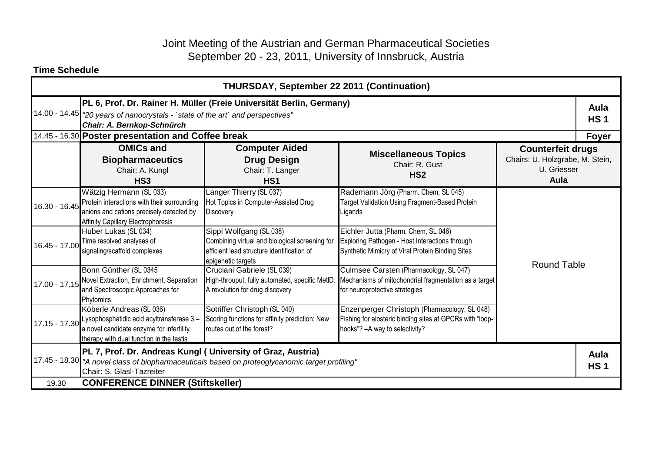## Joint Meeting of the Austrian and German Pharmaceutical Societies September 20 - 23, 2011, University of Innsbruck, Austria

| <b>THURSDAY, September 22 2011 (Continuation)</b> |                                                                                                                                                                                                                                              |                                                                                                                                               |                                                                                                                                             |                                                                                    |       |  |  |
|---------------------------------------------------|----------------------------------------------------------------------------------------------------------------------------------------------------------------------------------------------------------------------------------------------|-----------------------------------------------------------------------------------------------------------------------------------------------|---------------------------------------------------------------------------------------------------------------------------------------------|------------------------------------------------------------------------------------|-------|--|--|
|                                                   | PL 6, Prof. Dr. Rainer H. Müller (Freie Universität Berlin, Germany)<br>14.00 - 14.45   "20 years of nanocrystals - 'state of the art' and perspectives"<br>Chair: A. Bernkop-Schnürch<br>14.45 - 16.30 Poster presentation and Coffee break |                                                                                                                                               |                                                                                                                                             |                                                                                    |       |  |  |
|                                                   | <b>OMICs and</b><br><b>Biopharmaceutics</b><br>Chair: A. Kungl<br>HS <sub>3</sub>                                                                                                                                                            | <b>Computer Aided</b><br><b>Drug Design</b><br>Chair: T. Langer<br>HS <sub>1</sub>                                                            | <b>Miscellaneous Topics</b><br>Chair: R. Gust<br>HS <sub>2</sub>                                                                            | <b>Counterfeit drugs</b><br>Chairs: U. Holzgrabe, M. Stein,<br>U. Griesser<br>Aula | Foyer |  |  |
| 16.30 - 16.45                                     | Wätzig Hermann (SL 033)<br>Protein interactions with their surrounding<br>anions and cations precisely detected by<br><b>Affinity Capillary Electrophoresis</b>                                                                              | Langer Thierry (SL 037)<br>Hot Topics in Computer-Assisted Drug<br>Discovery                                                                  | Rademann Jörg (Pharm. Chem, SL 045)<br>Target Validation Using Fragment-Based Protein<br>Ligands                                            |                                                                                    |       |  |  |
| 16.45 - 17.00                                     | Huber Lukas (SL 034)<br>Time resolved analyses of<br>signaling/scaffold complexes                                                                                                                                                            | Sippl Wolfgang (SL 038)<br>Combining virtual and biological screening for<br>efficient lead structure identification of<br>epigenetic targets | Eichler Jutta (Pharm. Chem, SL 046)<br>Exploring Pathogen - Host Interactions through<br>Synthetic Mimicry of Viral Protein Binding Sites   | <b>Round Table</b>                                                                 |       |  |  |
| 17.00 - 17.15                                     | Bonn Günther (SL 0345<br>Novel Extraction, Enrichment, Separation<br>and Spectroscopic Approaches for<br>Phytomics                                                                                                                           | Cruciani Gabriele (SL 039)<br>High-throuput, fully automated, specific MetID.<br>A revolution for drug discovery                              | Culmsee Carsten (Pharmacology, SL 047)<br>Mechanisms of mitochondrial fragmentation as a target<br>for neuroprotective strategies           |                                                                                    |       |  |  |
| 17.15 - 17.30                                     | Köberle Andreas (SL 036)<br>Lysophosphatidic acid acyltransferase 3-<br>a novel candidate enzyme for infertility<br>therapy with dual function in the testis                                                                                 | Sotriffer Christoph (SL 040)<br>Scoring functions for affinity prediction: New<br>routes out of the forest?                                   | Enzenperger Christoph (Pharmacology, SL 048)<br>Fishing for alosteric binding sites at GPCRs with "loop-<br>hooks"? - A way to selectivity? |                                                                                    |       |  |  |
|                                                   | PL 7, Prof. Dr. Andreas Kungl ( University of Graz, Austria)<br>17.45 - 18.30 TA novel class of biopharmaceuticals based on proteoglycanomic target profiling"<br>Chair: S. Glasl-Tazreiter                                                  |                                                                                                                                               |                                                                                                                                             |                                                                                    |       |  |  |
| <b>CONFERENCE DINNER (Stiftskeller)</b><br>19.30  |                                                                                                                                                                                                                                              |                                                                                                                                               |                                                                                                                                             |                                                                                    |       |  |  |